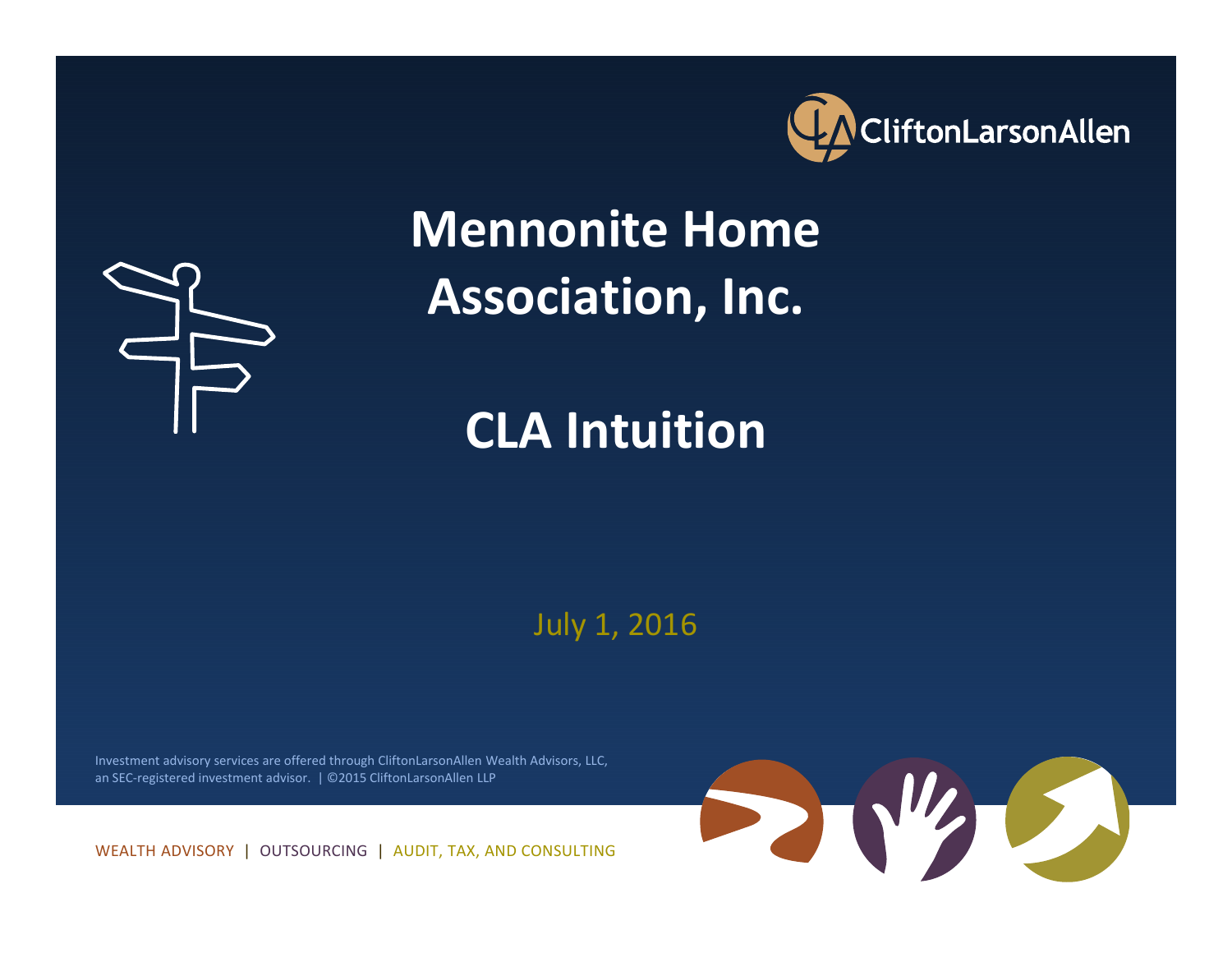



# **Mennonite Home Association, Inc.**

# **CLA Intuition**

July 1, 2016

Investment advisory services are offered through CliftonLarsonAllen Wealth Advisors, LLC, an SEC‐registered investment advisor. | ©2015 CliftonLarsonAllen LLP

WEALTH ADVISORY | OUTSOURCING | AUDIT, TAX, AND CONSULTING

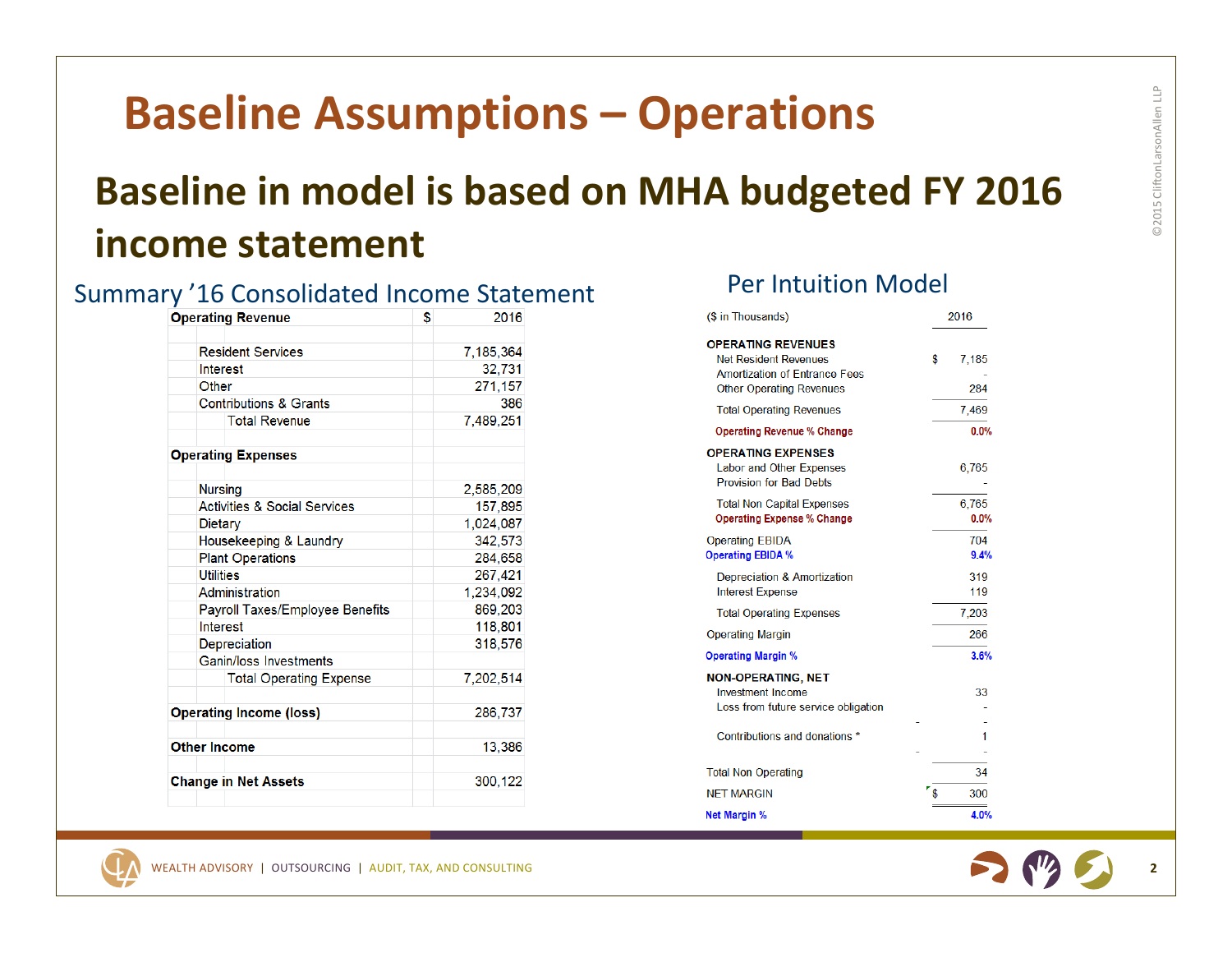### **Baseline Assumptions – Operations**

#### **Baseline in model is based on MHA budgeted FY 2016 income statement**

#### Summary '16 Consolidated Income Statement Per Intuition Model

| <b>Operating Revenue</b> |                                         | \$      | 2016      |  |  |  |  |
|--------------------------|-----------------------------------------|---------|-----------|--|--|--|--|
|                          |                                         |         |           |  |  |  |  |
|                          | <b>Resident Services</b>                |         | 7,185,364 |  |  |  |  |
|                          | Interest                                |         | 32,731    |  |  |  |  |
|                          | Other                                   |         | 271,157   |  |  |  |  |
|                          | <b>Contributions &amp; Grants</b>       |         | 386       |  |  |  |  |
|                          | <b>Total Revenue</b>                    |         | 7,489,251 |  |  |  |  |
|                          | <b>Operating Expenses</b>               |         |           |  |  |  |  |
|                          | <b>Nursing</b>                          |         | 2,585,209 |  |  |  |  |
|                          | <b>Activities &amp; Social Services</b> |         | 157,895   |  |  |  |  |
|                          | <b>Dietary</b>                          |         | 1,024,087 |  |  |  |  |
|                          | Housekeeping & Laundry                  |         | 342,573   |  |  |  |  |
|                          | <b>Plant Operations</b>                 |         | 284,658   |  |  |  |  |
|                          | <b>Utilities</b>                        |         | 267.421   |  |  |  |  |
|                          | Administration                          |         | 1,234,092 |  |  |  |  |
|                          | <b>Payroll Taxes/Employee Benefits</b>  |         | 869,203   |  |  |  |  |
|                          | Interest                                |         | 118,801   |  |  |  |  |
|                          | Depreciation                            | 318,576 |           |  |  |  |  |
|                          | Ganin/loss Investments                  |         |           |  |  |  |  |
|                          | <b>Total Operating Expense</b>          |         | 7.202.514 |  |  |  |  |
|                          | <b>Operating Income (loss)</b>          |         | 286,737   |  |  |  |  |
|                          | <b>Other Income</b>                     |         | 13,386    |  |  |  |  |
|                          | <b>Change in Net Assets</b>             |         | 300,122   |  |  |  |  |

| (\$ in Thousands)                                                                                                                    | 2016               |
|--------------------------------------------------------------------------------------------------------------------------------------|--------------------|
| <b>OPERATING REVENUES</b><br><b>Net Resident Revenues</b><br><b>Amortization of Entrance Fees</b><br><b>Other Operating Revenues</b> | \$<br>7,185<br>284 |
| <b>Total Operating Revenues</b>                                                                                                      | 7,469              |
| <b>Operating Revenue % Change</b>                                                                                                    | 0.0%               |
| <b>OPERATING EXPENSES</b><br><b>Labor and Other Expenses</b><br><b>Provision for Bad Debts</b>                                       | 6,765              |
| <b>Total Non Capital Expenses</b><br><b>Operating Expense % Change</b>                                                               | 6.765<br>0.0%      |
| <b>Operating EBIDA</b><br><b>Operating EBIDA %</b>                                                                                   | 704<br>9.4%        |
| Depreciation & Amortization<br><b>Interest Expense</b>                                                                               | 319<br>119         |
| <b>Total Operating Expenses</b>                                                                                                      | 7,203              |
| <b>Operating Margin</b>                                                                                                              | 266                |
| <b>Operating Margin %</b>                                                                                                            | 3.6%               |
| <b>NON-OPERATING, NET</b><br><b>Investment Income</b><br>Loss from future service obligation                                         | 33                 |
| Contributions and donations *                                                                                                        | 1                  |
| <b>Total Non Operating</b>                                                                                                           | 34                 |
| <b>NET MARGIN</b>                                                                                                                    | 300                |
| <b>Net Margin %</b>                                                                                                                  | 4.0%               |



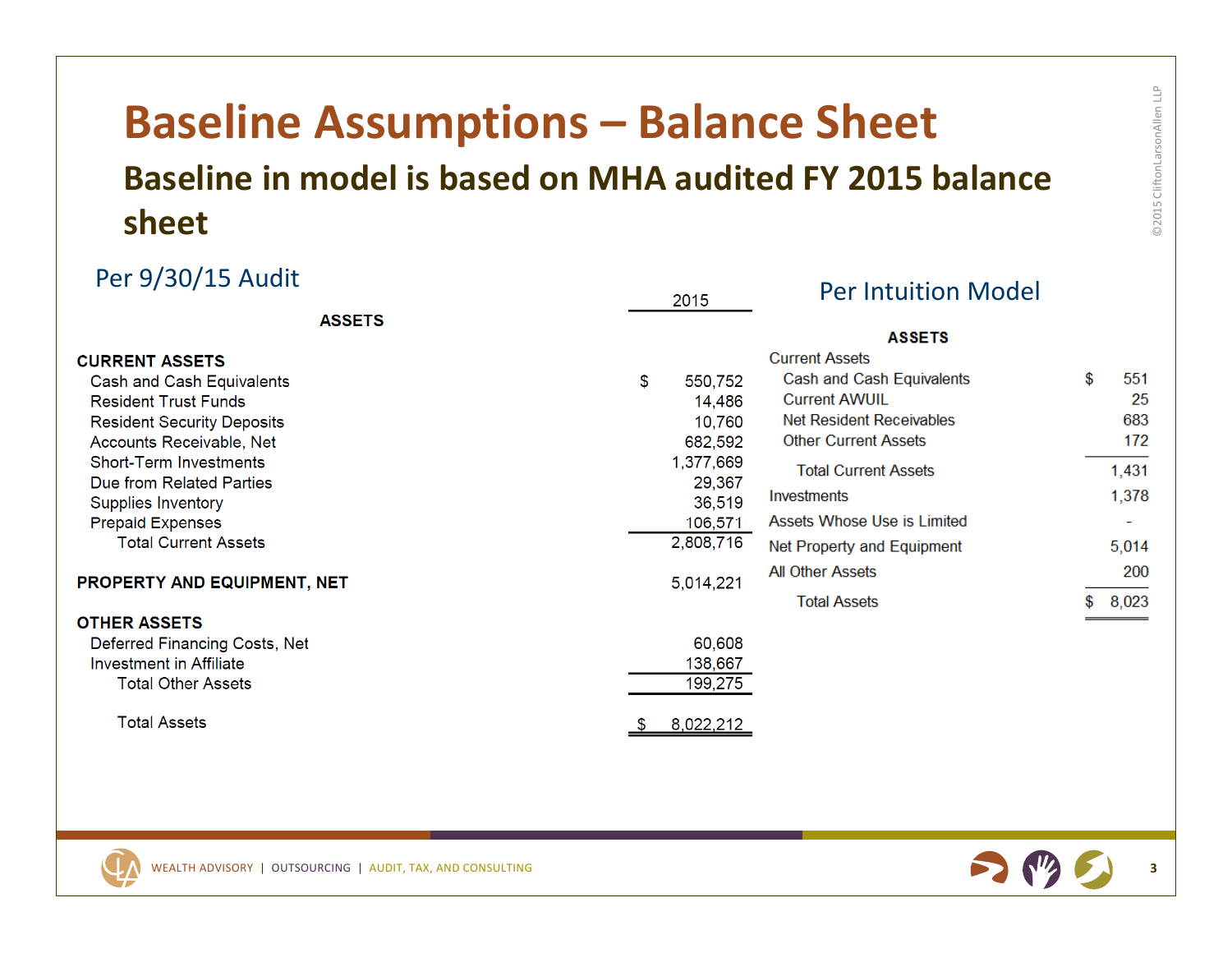### **Baseline Assumptions – Balance Sheet Baseline in model is based on MHA audited FY 2015 balance sheet**

| Per 9/30/15 Audit<br><b>ASSETS</b> |    | 2015      | <b>Per Intuition Model</b>             |    |       |
|------------------------------------|----|-----------|----------------------------------------|----|-------|
|                                    |    |           |                                        |    |       |
| <b>CURRENT ASSETS</b>              |    |           | <b>ASSETS</b><br><b>Current Assets</b> |    |       |
| Cash and Cash Equivalents          | \$ | 550,752   | Cash and Cash Equivalents              | \$ | 551   |
| <b>Resident Trust Funds</b>        |    | 14,486    | <b>Current AWUIL</b>                   |    | 25    |
| <b>Resident Security Deposits</b>  |    | 10,760    | Net Resident Receivables               |    | 683   |
| Accounts Receivable, Net           |    | 682,592   | <b>Other Current Assets</b>            |    | 172   |
| <b>Short-Term Investments</b>      |    | 1,377,669 | <b>Total Current Assets</b>            |    | 1,431 |
| Due from Related Parties           |    | 29,367    |                                        |    |       |
| <b>Supplies Inventory</b>          |    | 36,519    | Investments                            |    | 1,378 |
| <b>Prepaid Expenses</b>            |    | 106,571   | Assets Whose Use is Limited            |    |       |
| <b>Total Current Assets</b>        |    | 2,808,716 | Net Property and Equipment             |    | 5,014 |
| <b>PROPERTY AND EQUIPMENT, NET</b> |    | 5,014,221 | <b>All Other Assets</b>                |    | 200   |
|                                    |    |           | <b>Total Assets</b>                    |    | 8,023 |
| <b>OTHER ASSETS</b>                |    |           |                                        |    |       |
| Deferred Financing Costs, Net      |    | 60,608    |                                        |    |       |
| Investment in Affiliate            |    | 138,667   |                                        |    |       |
| <b>Total Other Assets</b>          |    | 199,275   |                                        |    |       |
| <b>Total Assets</b>                |    | 8,022,212 |                                        |    |       |





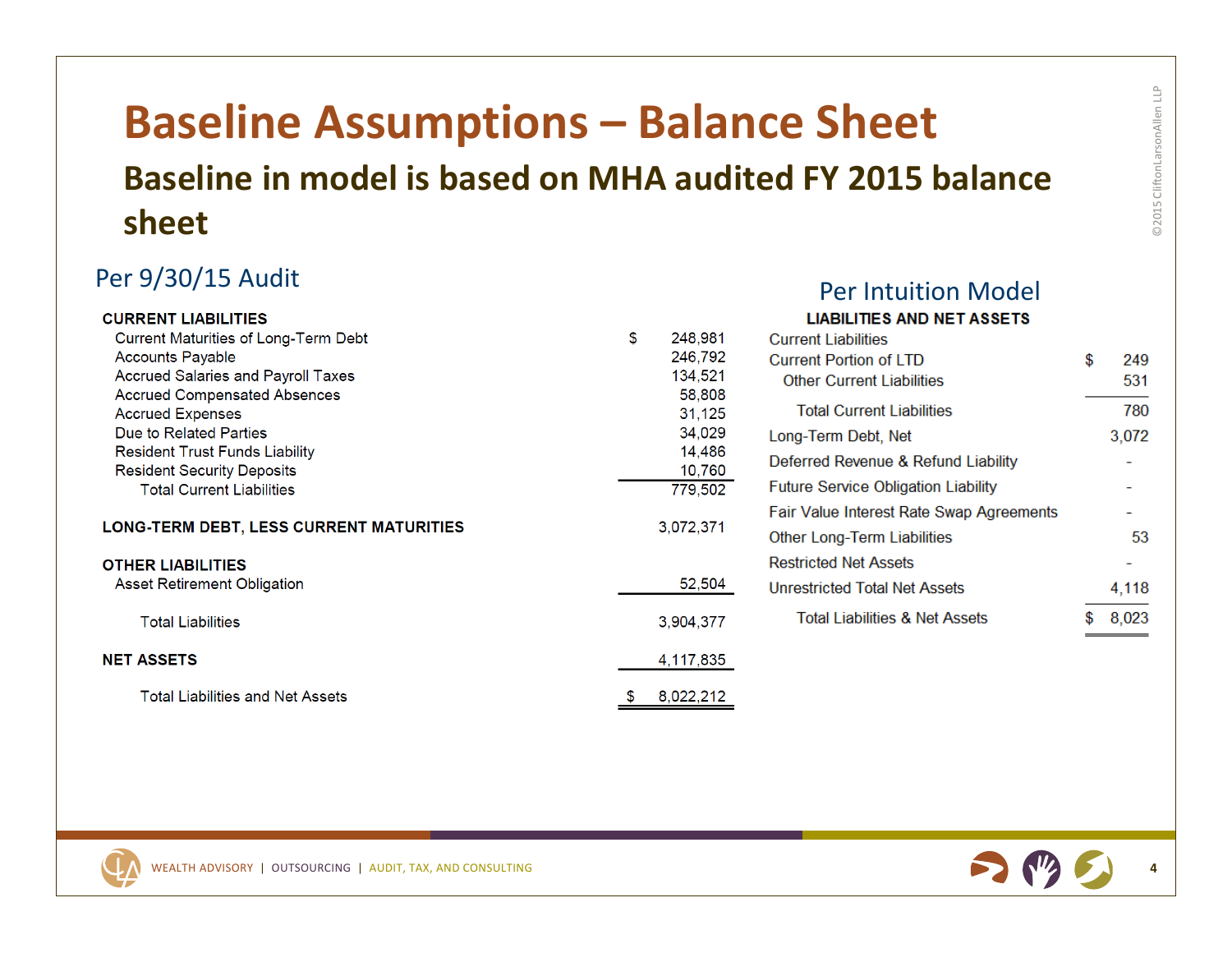#### **Baseline Assumptions – Balance Sheet Baseline in model is based on MHA audited FY 2015 balance sheet**

#### Per 9/30/15 Audit Per

| <b>CURRENT LIABILITIES</b>                  |           |           | <b>LIABILITIES AND NET ASSETS</b>          |           |
|---------------------------------------------|-----------|-----------|--------------------------------------------|-----------|
| <b>Current Maturities of Long-Term Debt</b> | \$        | 248,981   | <b>Current Liabilities</b>                 |           |
| <b>Accounts Payable</b>                     |           | 246,792   | <b>Current Portion of LTD</b>              | \$<br>249 |
| <b>Accrued Salaries and Payroll Taxes</b>   |           | 134,521   | <b>Other Current Liabilities</b>           | 531       |
| <b>Accrued Compensated Absences</b>         |           | 58,808    |                                            |           |
| <b>Accrued Expenses</b>                     |           | 31,125    | <b>Total Current Liabilities</b>           | 780       |
| Due to Related Parties                      |           | 34,029    | Long-Term Debt, Net                        | 3,072     |
| <b>Resident Trust Funds Liability</b>       |           | 14,486    | Deferred Revenue & Refund Liability        |           |
| <b>Resident Security Deposits</b>           |           | 10,760    |                                            |           |
| <b>Total Current Liabilities</b>            |           | 779,502   | <b>Future Service Obligation Liability</b> |           |
|                                             | 3,072,371 |           | Fair Value Interest Rate Swap Agreements   |           |
| LONG-TERM DEBT, LESS CURRENT MATURITIES     |           |           | Other Long-Term Liabilities                | 53        |
| <b>OTHER LIABILITIES</b>                    |           |           | <b>Restricted Net Assets</b>               |           |
| Asset Retirement Obligation                 |           | 52,504    | Unrestricted Total Net Assets              | 4,118     |
| <b>Total Liabilities</b>                    |           | 3,904,377 | <b>Total Liabilities &amp; Net Assets</b>  | \$8,023   |
| <b>NET ASSETS</b>                           |           | 4,117,835 |                                            |           |
| <b>Total Liabilities and Net Assets</b>     |           | 8,022,212 |                                            |           |



r Intuition Model

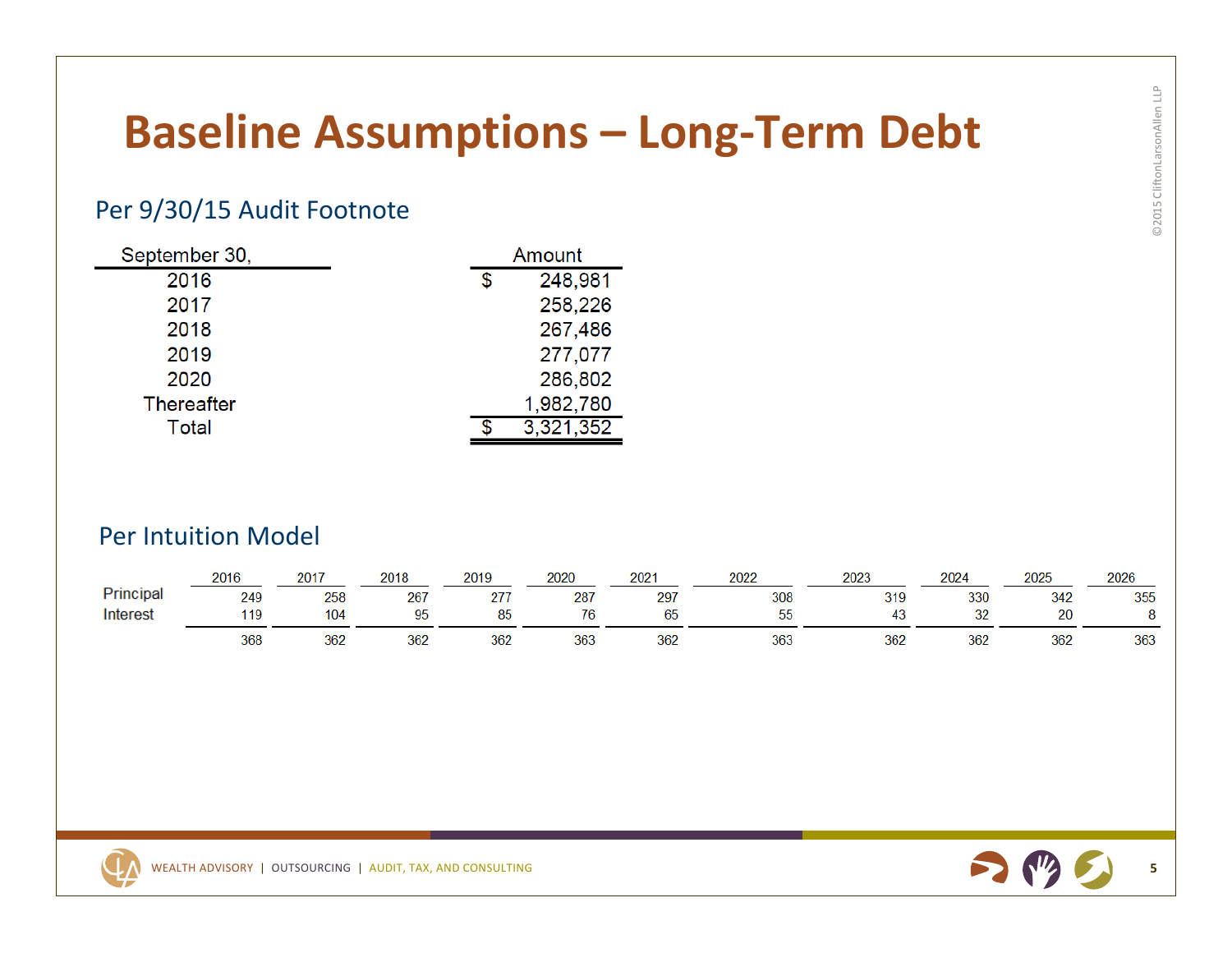# **Baseline Assumptions – Long‐Term Debt**

#### Per 9/30/15 Audit Footnote

| September 30,     | Amount |           |  |
|-------------------|--------|-----------|--|
| 2016              | \$     | 248,981   |  |
| 2017              |        | 258,226   |  |
| 2018              |        | 267,486   |  |
| 2019              |        | 277,077   |  |
| 2020              |        | 286,802   |  |
| <b>Thereafter</b> |        | 1,982,780 |  |
| Total             |        | 3,321,352 |  |

#### Per Intuition Model

|           | 2016 | 2017 | 2018 | 2019 | 2020 | $202 -$   | 2022     | 2023     | 2024     | 2025 | 2026 |
|-----------|------|------|------|------|------|-----------|----------|----------|----------|------|------|
| Principal | 249  | 258  | 267  | 27   | 287  | 297       | 308      | 319      | 330      | 342  | 355  |
| Interest  | 119  | 104  | 05   | 85   | 76   | n r<br>65 | --<br>55 | ៱<br>45. | າດ<br>JZ | 20   |      |
|           | 368  | 362  | 362  | 362  | 363  | 362       | 363      | 362      | 362      | 362  | 363  |



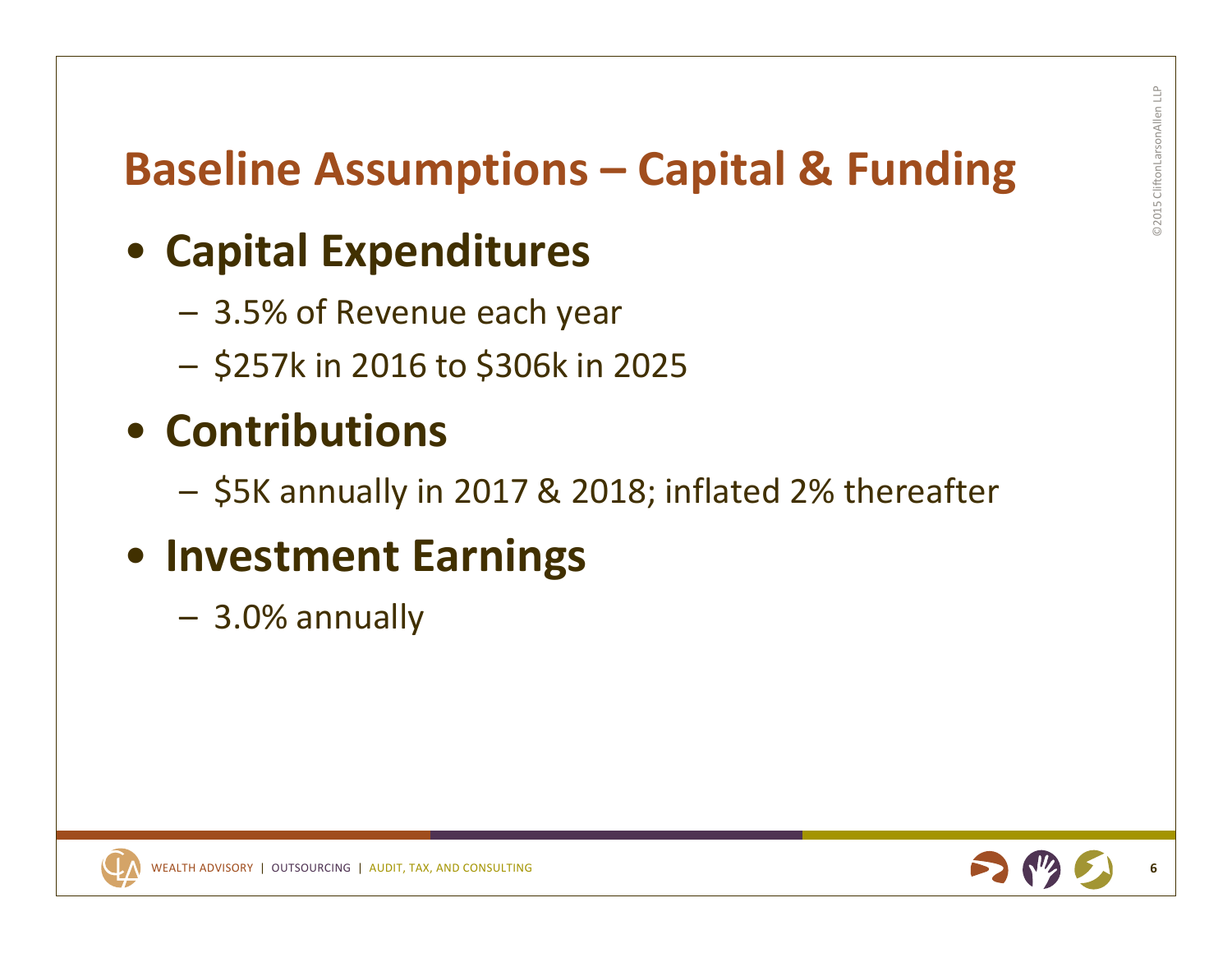## **Baseline Assumptions – Capital & Funding**

## • **Capital Expenditures**

- 3.5% of Revenue each year
- –\$257k in 2016 to \$306k in 2025

### • **Contributions**

–\$5K annually in 2017 & 2018; inflated 2% thereafter

### • **Investment Earnings**

– 3.0% annually



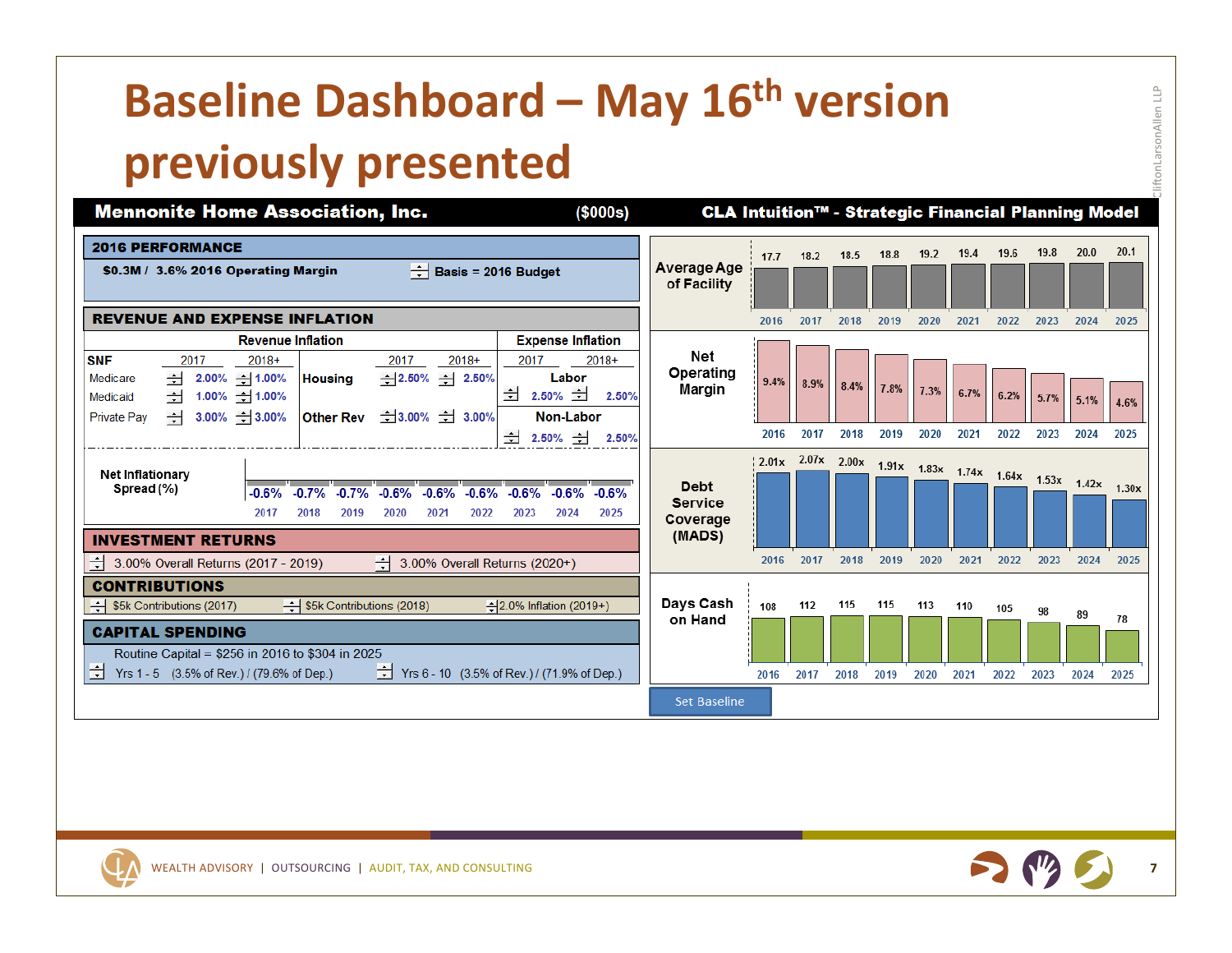# **Baseline Dashboard – May 16th version previously presented**

**Mennonite Home Association, Inc.** CLA Intuition™ - Strategic Financial Planning Model  $($ \$000s $)$ **2016 PERFORMANCE** 19.8  $20.0$  $20.1$ 19.4 19.6  $18.2$ 18.5 18.8 19.2  $17.7$ Average Age  $\div$  Basis = 2016 Budget \$0.3M / 3.6% 2016 Operating Margin of Facility **REVENUE AND EXPENSE INFLATION** 2016 2017 2018 2019 2020 2021 2022 2023 2024 2025 **Revenue Inflation Expense Inflation** Net **SNF** 2017  $2018+$ 2017  $2018+$ 2017  $2018+$ Operating Medicare  $-12.00\% - 1.00\%$ **Housing**  $-2.50\% - 2.50\%$ Labor 9.4% 8.9%  $8.4%$ Margin 7.8% 7.3%  $\pm$  2.50%  $\pm$  $6.7%$  $- 1.00\% - 1.00\%$ 2.50%  $6.2%$ Medicaid 5.7%  $5.1%$ 4.6%  $\div$  3.00%  $\div$  3.00%  $\pm$  3.00%  $\pm$  3.00% Non-Labor **Private Pay Other Rev** 2016 2017 2018 2019 2020 2021 2022 2023 2024 2025  $\pm$  2.50%  $\pm$  2.50%  $\begin{array}{|c|c|c|c|c|c|c|c|}\n\hline\n2.01x & 2.00x & 1.91x & 1.83x & 1.74x & 1.64x & 1.53x & 1.42x & 1.30x \\
\hline\n\end{array}$ Net Inflationary **Debt** Spread (%)  $-0.6%$  $-0.7\% -0.7\% -0.6\%$  $-0.6\%$   $-0.6\%$   $-0.6\%$   $-0.6\%$   $-0.6\%$ **Service** 2017 2018 2019 2020 2021 2022 2023 2024 2025 Coverage (MADS) **INVESTMENT RETURNS** 2017 2018 2019 2020 2021 2022 2023 2024 2025 Ė 3.00% Overall Returns (2017 - 2019) 픰 2016 3.00% Overall Returns (2020+) **CONTRIBUTIONS** Days Cash  $\rightarrow$  \$5k Contributions (2017) S5k Contributions (2018)  $-2.0\%$  Inflation (2019+) 112 115 115 113 110 108 105 98 89 78 on Hand **CAPITAL SPENDING** Routine Capital = \$256 in 2016 to \$304 in 2025 哥  $\frac{1}{2}$  Yrs 6 - 10 (3.5% of Rev.) / (71.9% of Dep.) Yrs 1 - 5 (3.5% of Rev.) / (79.6% of Dep.) 2018 2016 2017 2019 2020 2021 2022 2023 2024 2025 **Set Baseline** 



©2015 CliftonLarsonAllen LLP

liftonLarsonAllen LLP

WEALTH ADVISORY | OUTSOURCING | AUDIT, TAX, AND CONSULTING

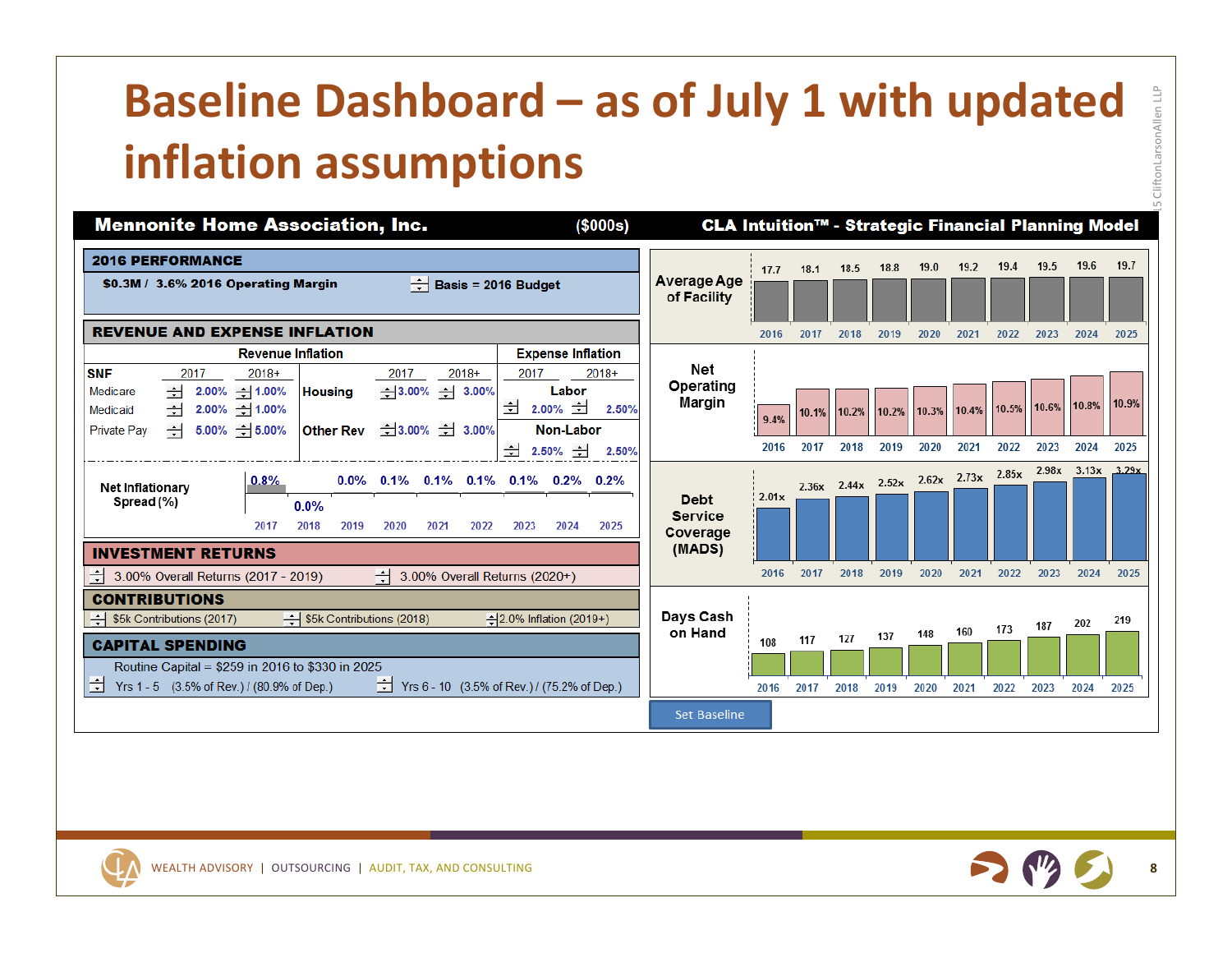# **Baseline Dashboard – as of July 1 with updated inflation assumptions**



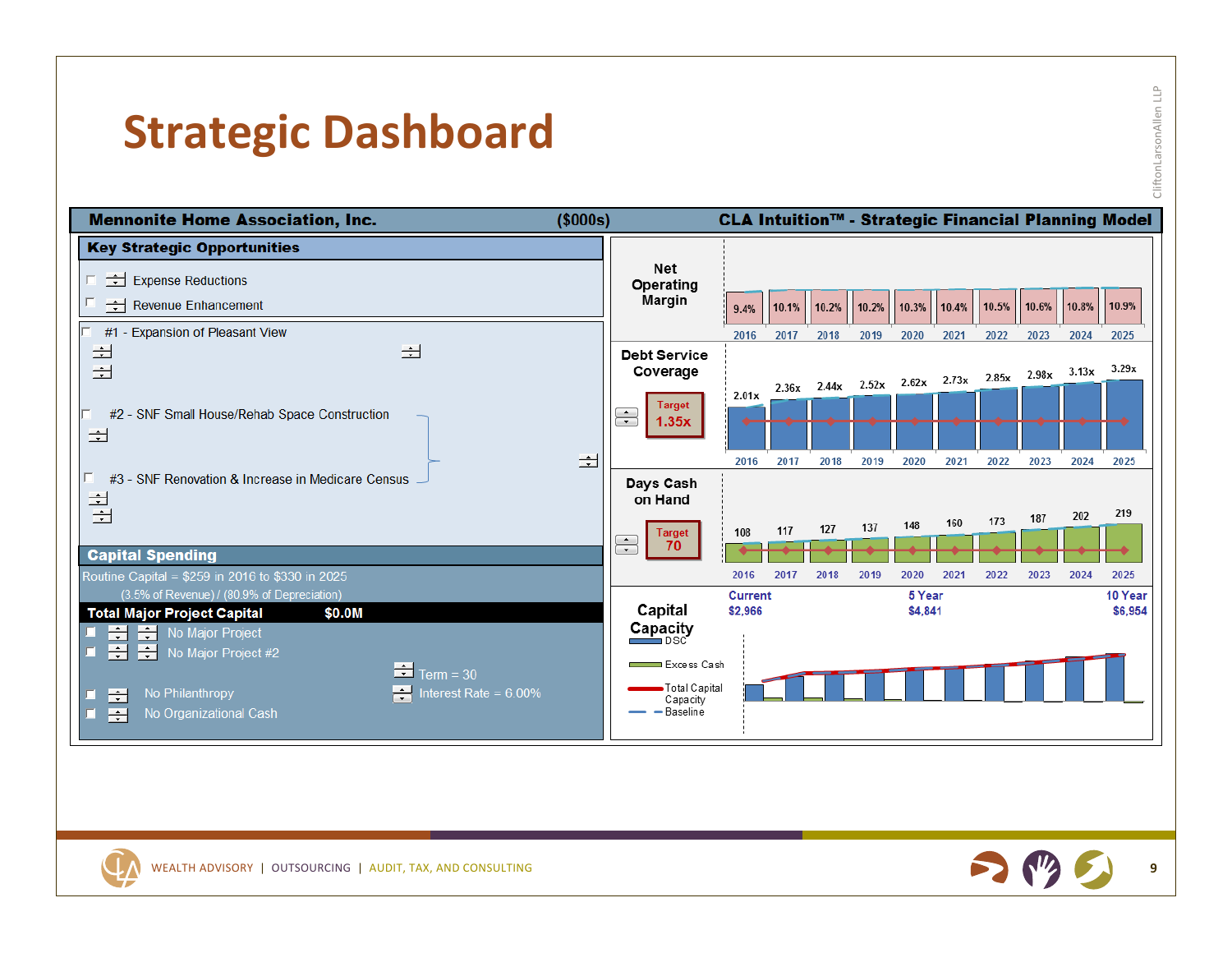#### **Strategic Dashboard**

| d<br>۰      |  |
|-------------|--|
| $\sim$<br>3 |  |
| ٠<br>٠<br>é |  |
|             |  |
|             |  |

 $\stackrel{\text{p}}{\equiv}$ 





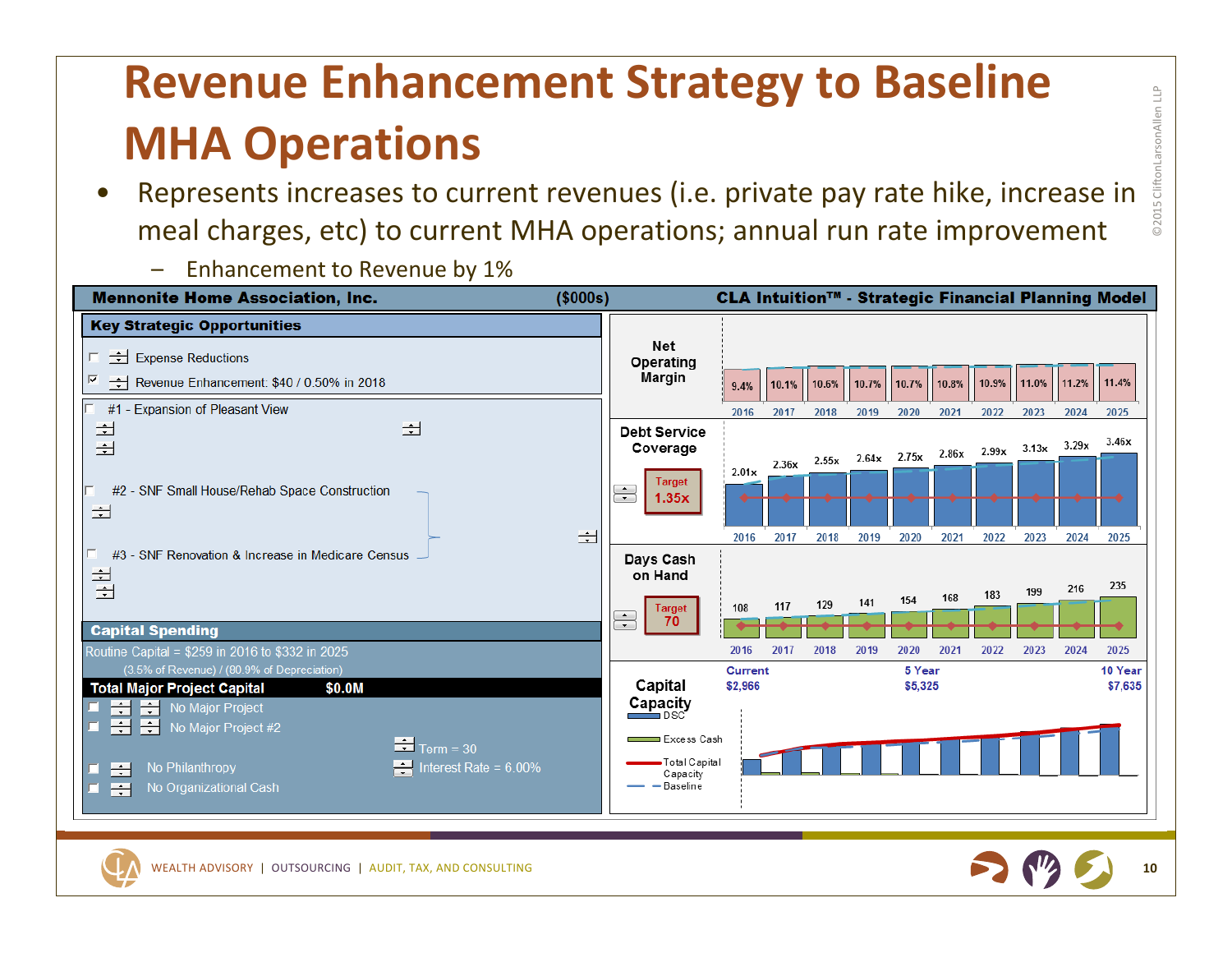# **Revenue Enhancement Strategy to Baseline MHA Operations**

- • Represents increases to current revenues (i.e. private pay rate hike, increase in meal charges, etc) to current MHA operations; annual run rate improvement
	- Enhancement to Revenue by 1%







©2015 CliftonLarsonAllen LLP

**©201** 

.5 Clifton Larson Allen

 $\stackrel{\text{p}}{\Box}$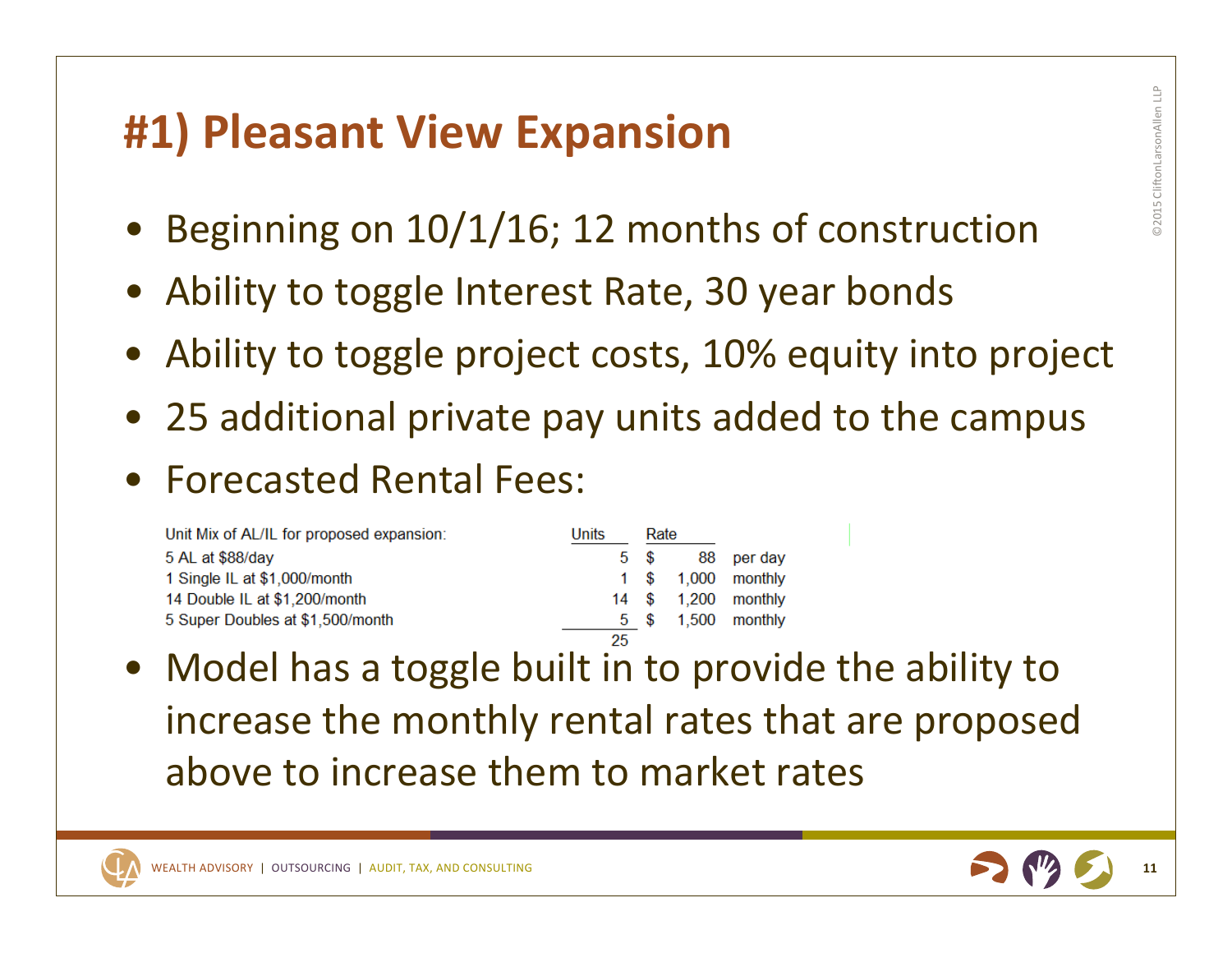#### **#1) Pleasant View Expansion**

- Beginning on 10/1/16; 12 months of construction
- Ability to toggle Interest Rate, 30 year bonds
- Ability to toggle project costs, 10% equity into project
- 25 additional private pay units added to the campus
- Forecasted Rental Fees:

| Unit Mix of AL/IL for proposed expansion: | Units | Rate |                     |
|-------------------------------------------|-------|------|---------------------|
| 5 AL at \$88/day                          |       |      | 5 \$ 88 per day     |
| 1 Single IL at \$1,000/month              |       |      | 1 \$ 1,000 monthly  |
| 14 Double IL at \$1,200/month             |       |      | 14 \$ 1,200 monthly |
| 5 Super Doubles at \$1,500/month          |       |      | 5 \$ 1,500 monthly  |
|                                           | OE.   |      |                     |

• Model has a toggle built in to provide the ability to increase the monthly rental rates that are proposed above to increase them to market rates



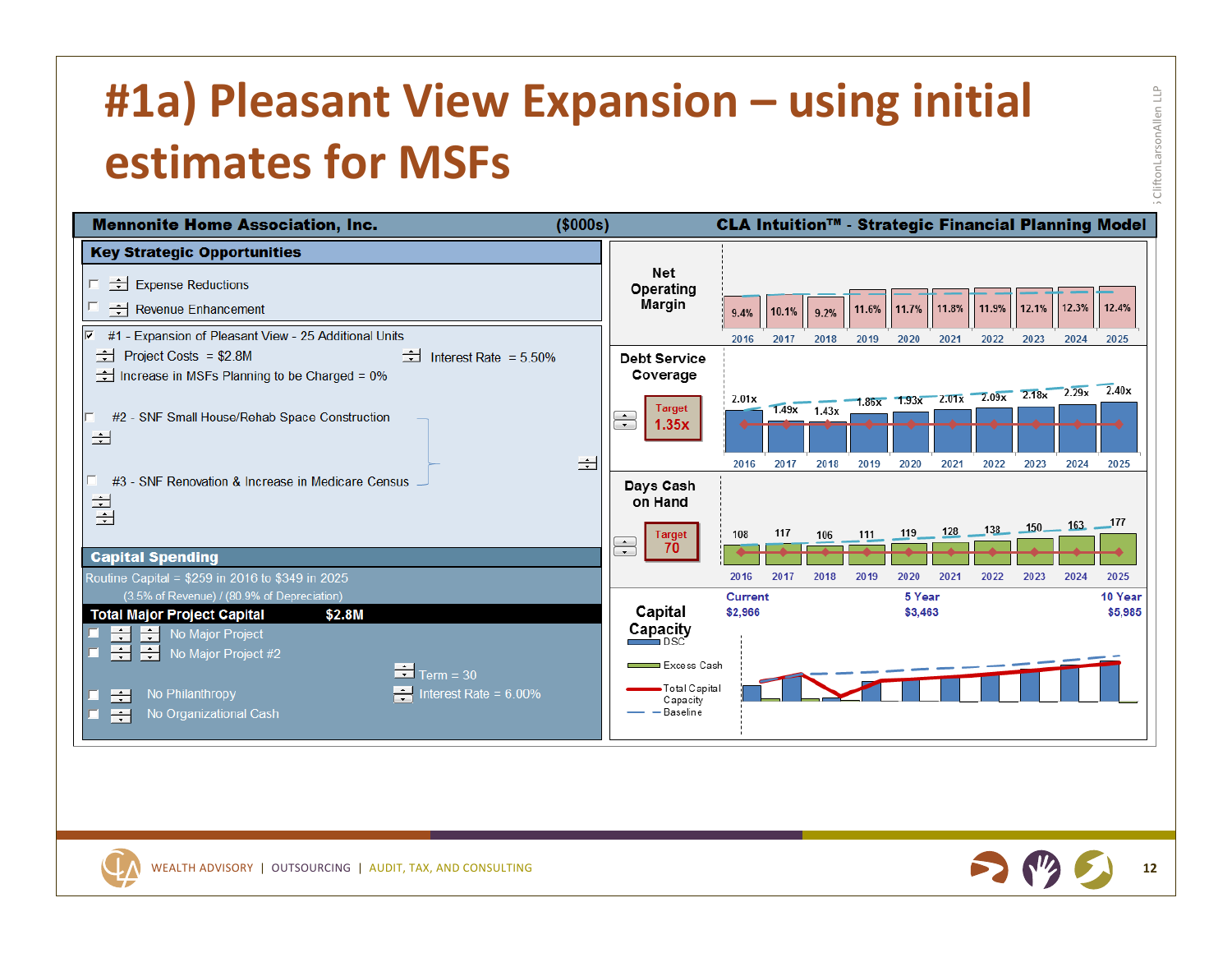# **#1a) Pleasant View Expansion – using initial estimates for MSFs**





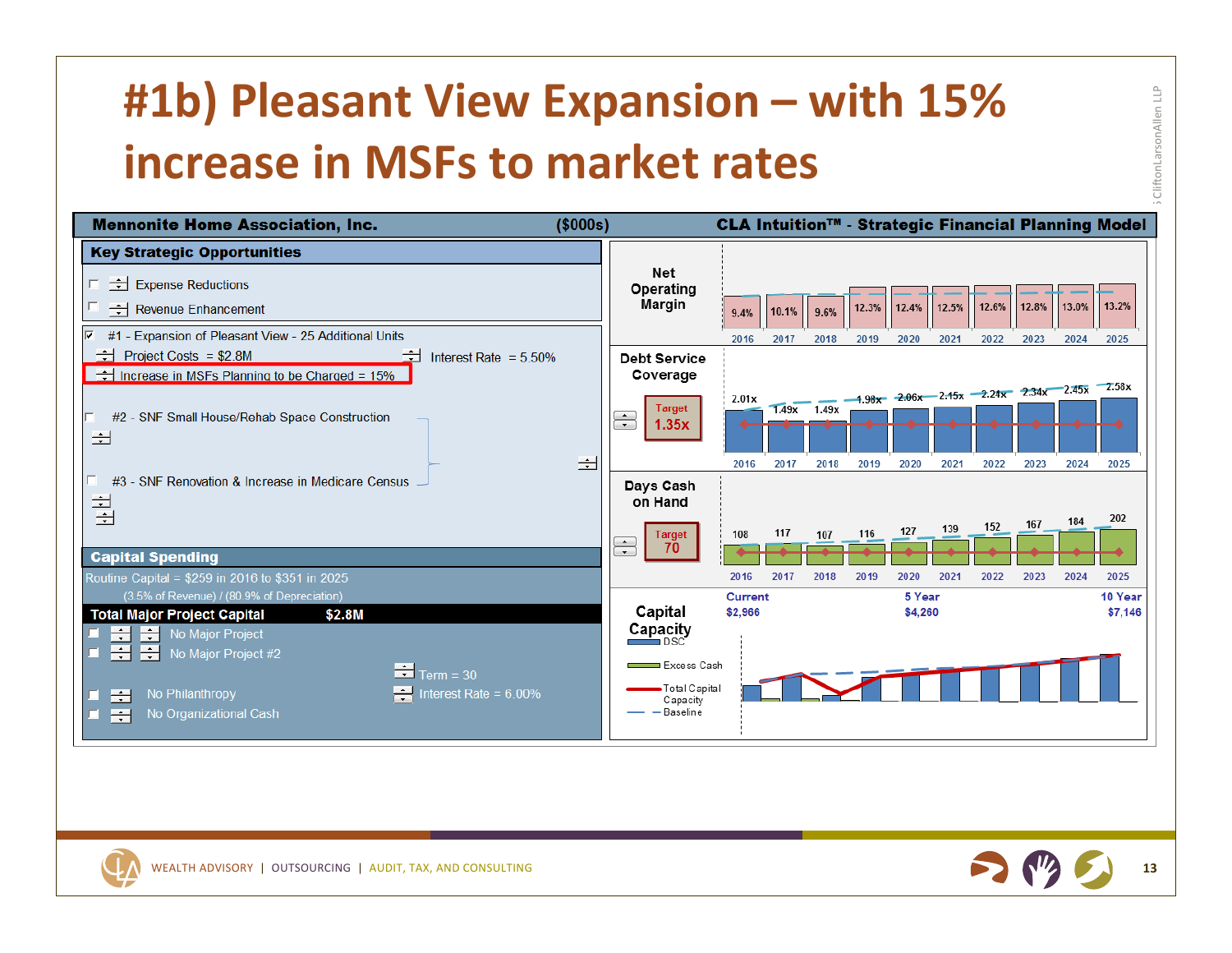# **#1b) Pleasant View Expansion – with 15% increase in MSFs to market rates**





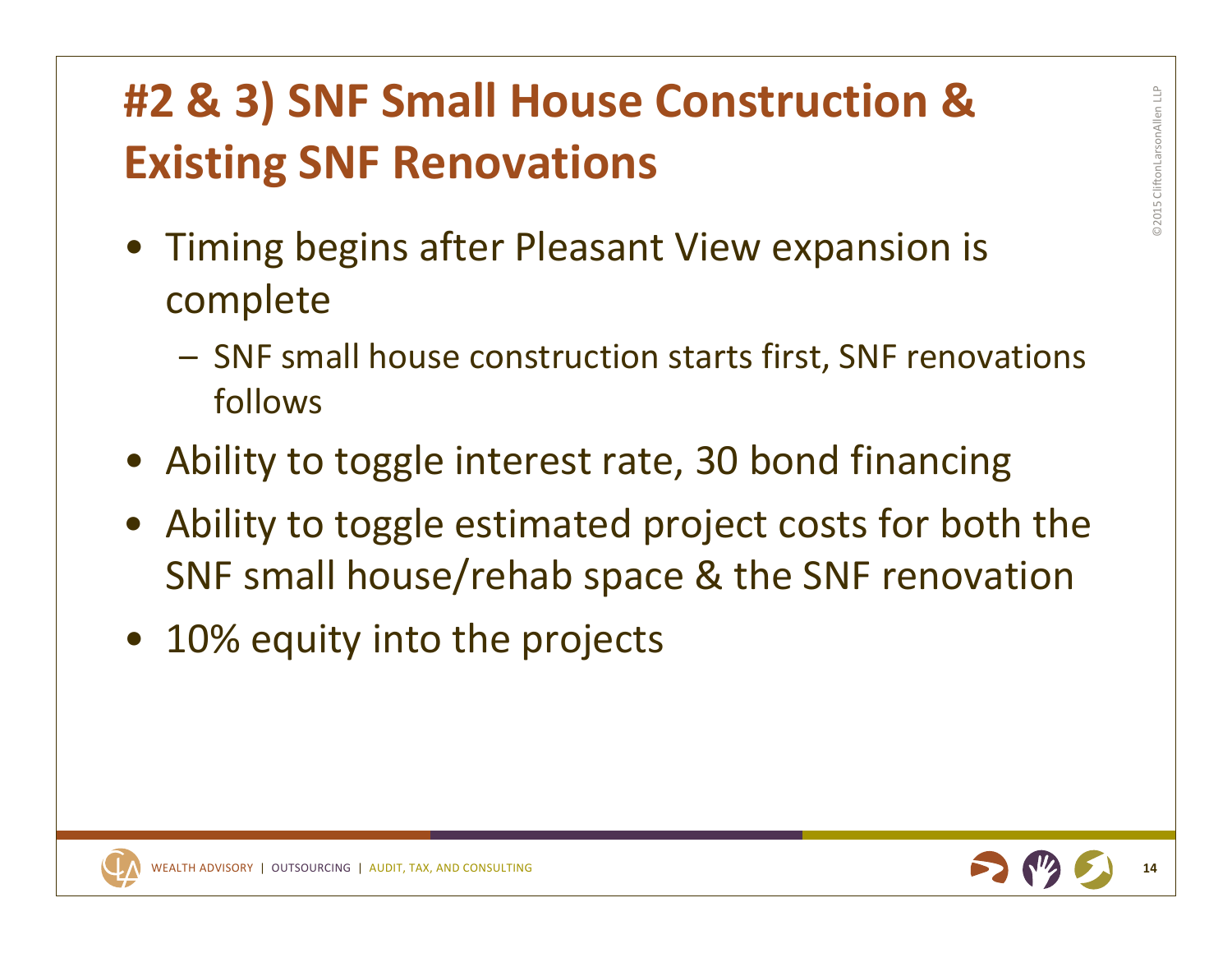# **#2 & 3) SNF Small House Construction & Existing SNF Renovations**

- Timing begins after Pleasant View expansion is complete
	- SNF small house construction starts first, SNF renovations follows
- Ability to toggle interest rate, 30 bond financing
- Ability to toggle estimated project costs for both the SNF small house/rehab space & the SNF renovation
- 10% equity into the projects



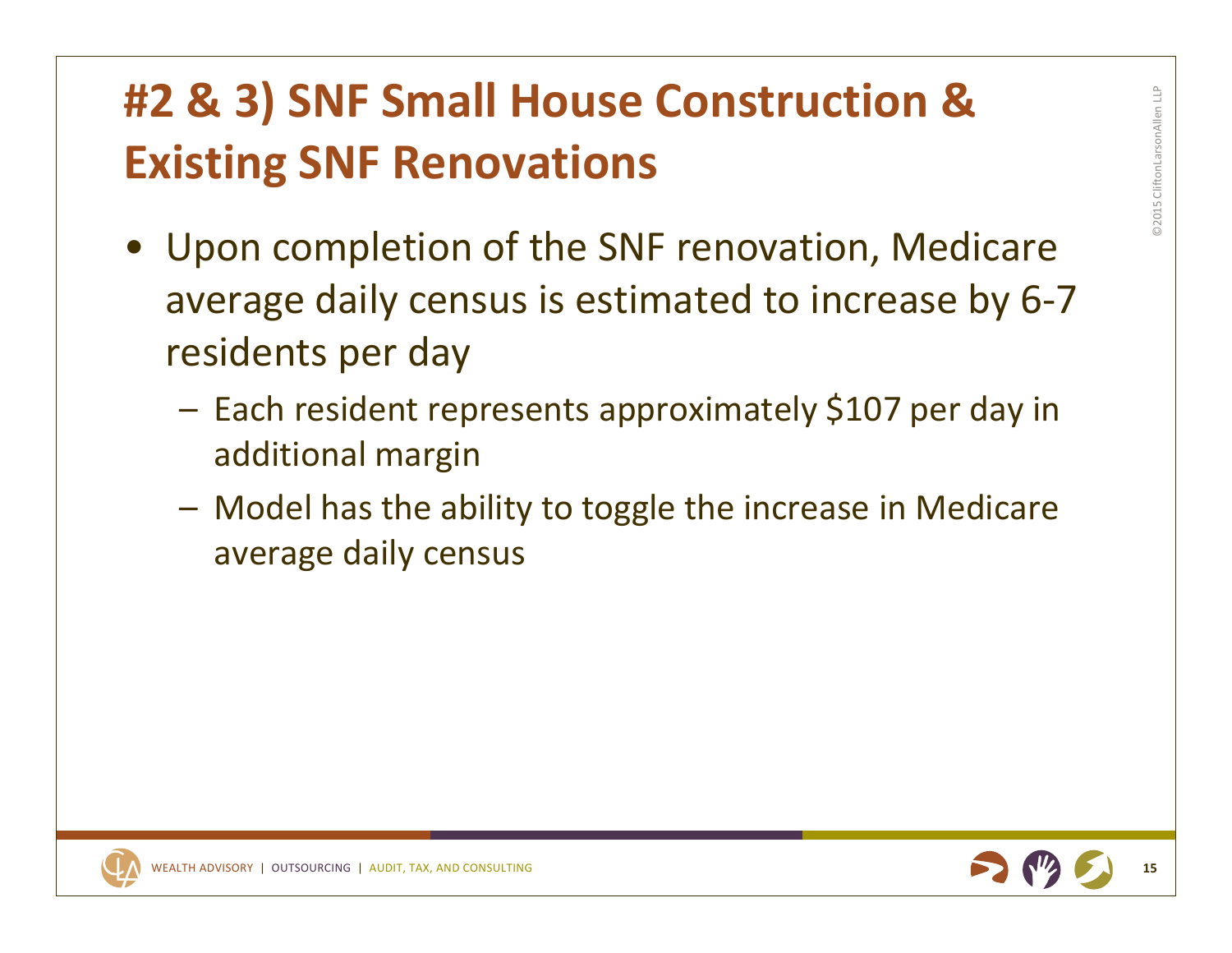# **#2 & 3) SNF Small House Construction & Existing SNF Renovations**

- Upon completion of the SNF renovation, Medicare average daily census is estimated to increase by 6‐7 residents per day
	- Each resident represents approximately \$107 per day in additional margin
	- Model has the ability to toggle the increase in Medicare average daily census

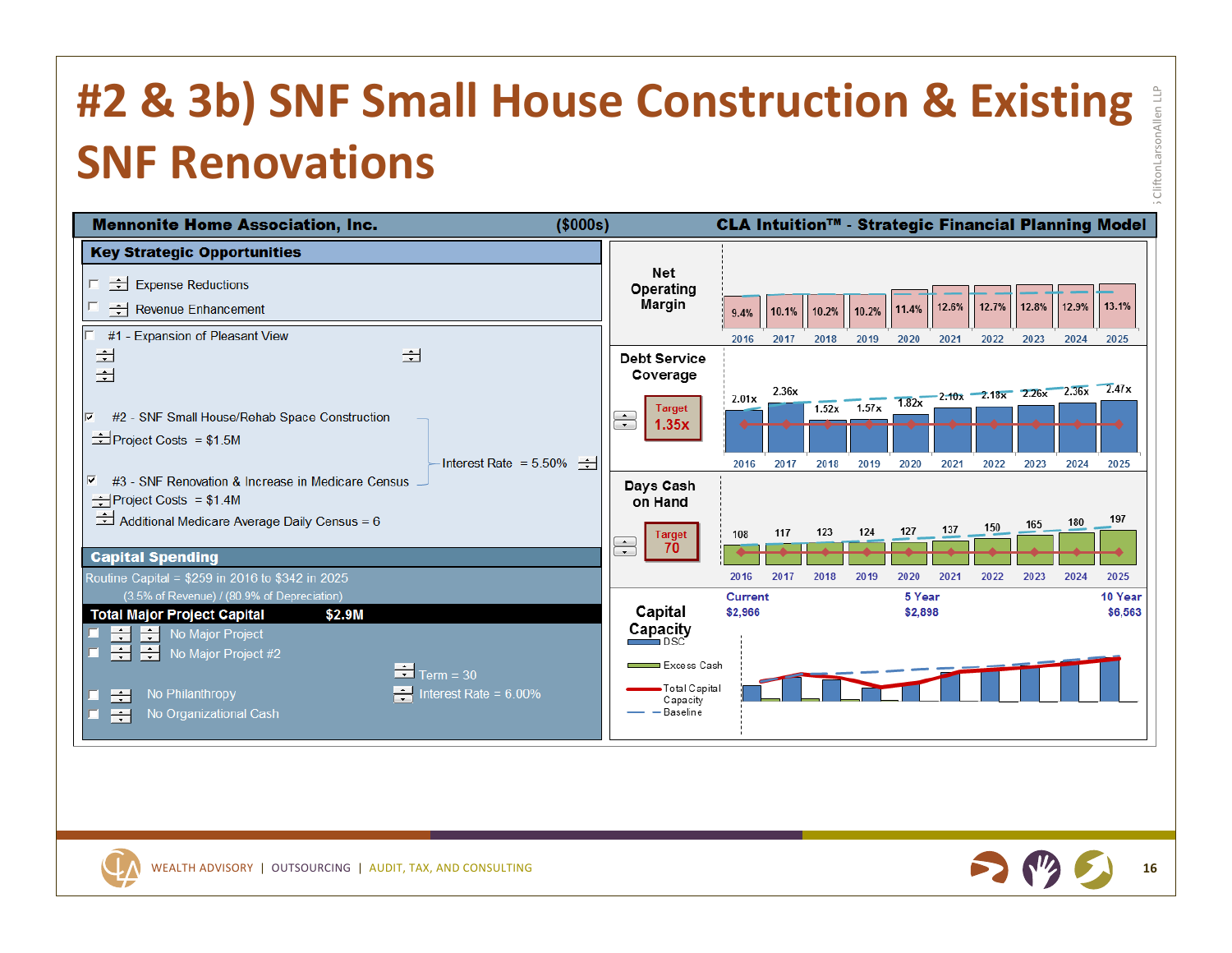# **#2 & 3b) SNF Small House Construction & Existing SNF Renovations**





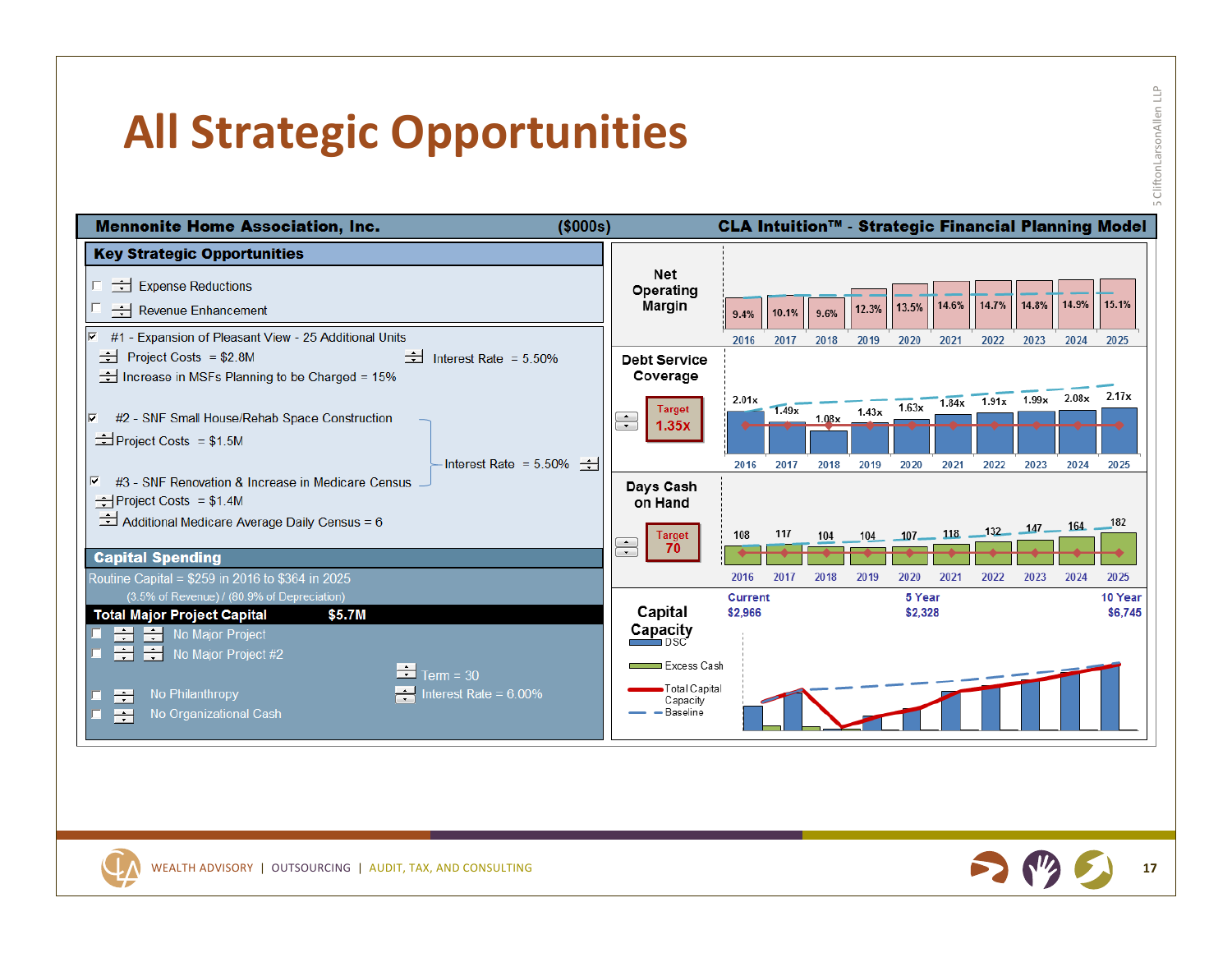## **All Strategic Opportunities**





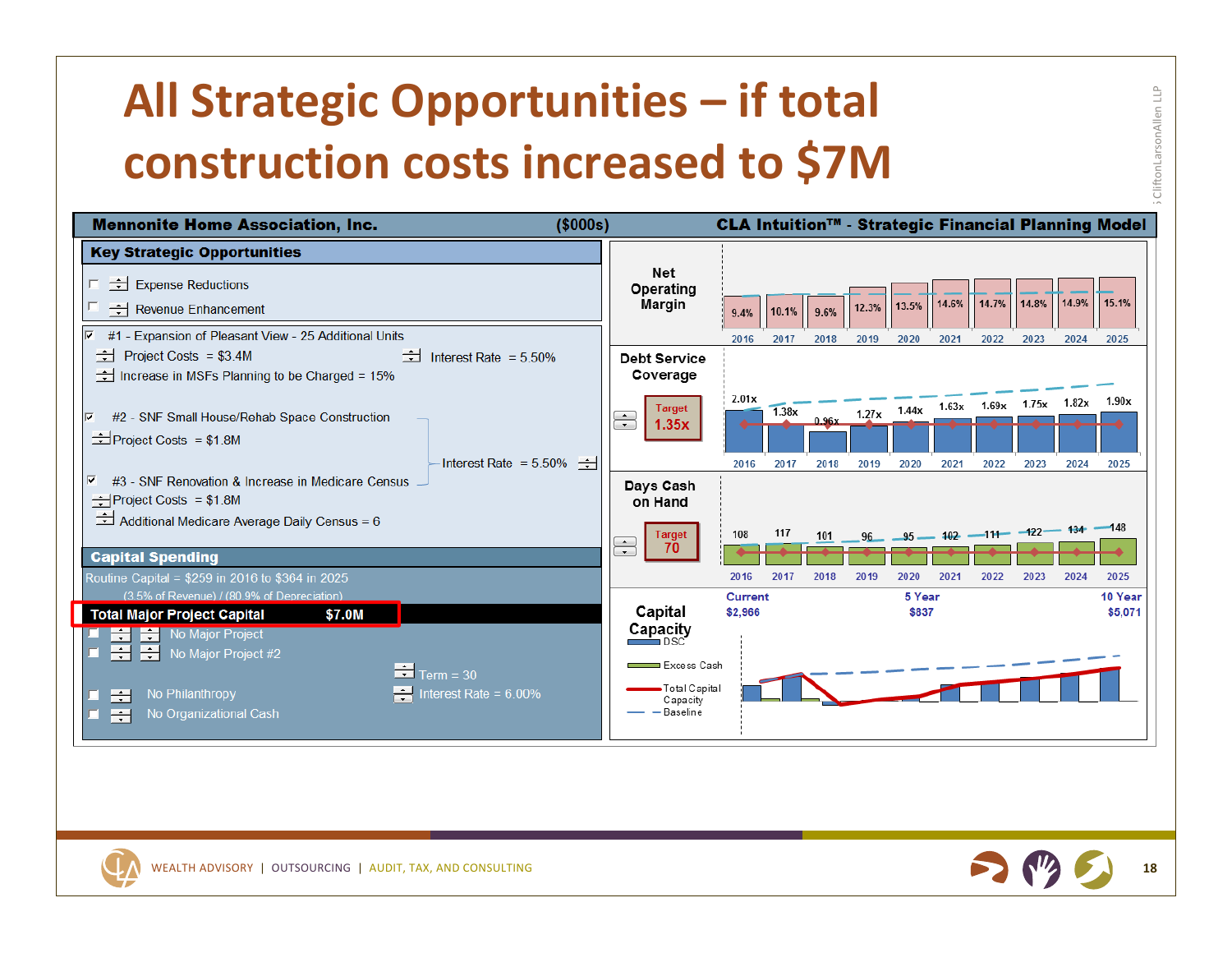# **All Strategic Opportunities – if total construction costs increased to \$7M**





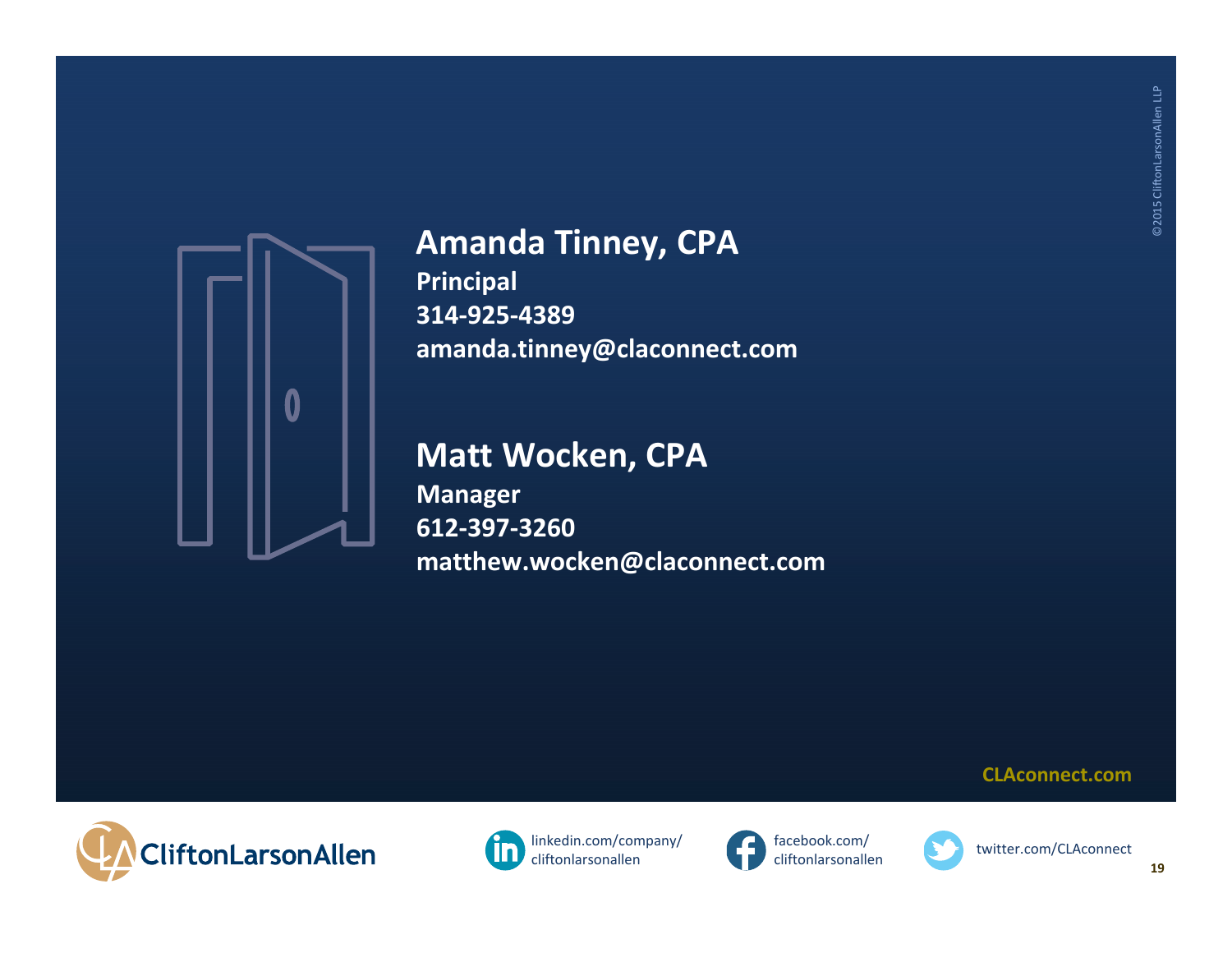

#### **Amanda Tinney, CPA**

**Principal 314‐925‐4389 amanda.tinney@claconnect.com**

#### **Matt Wocken, CPA**

**Manager 612‐397‐3260matthew.wocken@claconnect.com**









**CLAconnect.com**